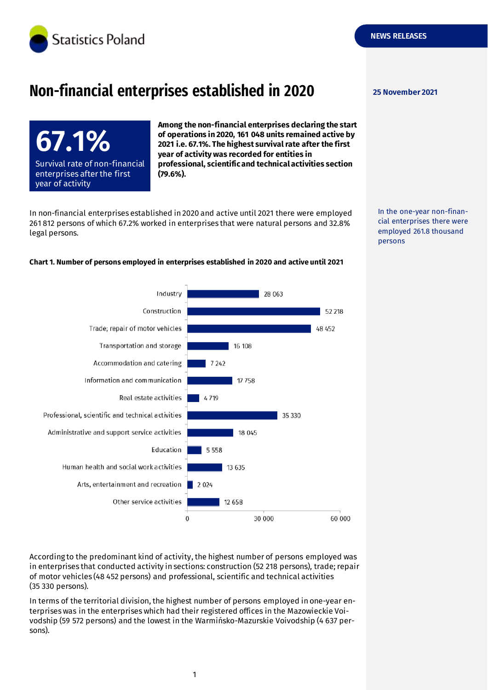

# **Non-financial enterprises established in 2020** 25 November 2021

**67.1%** Survival rate of non-financial enterprises after the first year of activity

**Among the non-financial enterprises declaring the start of operations in 2020, 161 048 units remained active by 2021 i.e. 67.1%. The highest survival rate after the first year of activity was recorded for entities in professional, scientific and technical activities section (79.6%).**

In non-financial enterprises established in 2020 and active until 2021 there were employed 261 812 persons of which 67.2% worked in enterprises that were natural persons and 32.8% legal persons.

In the one-year non-financial enterprises there were employed 261.8 thousand persons



**Chart 1. Number of persons employed in enterprises established in 2020 and active until 2021**

According to the predominant kind of activity, the highest number of persons employed was in enterprises that conducted activity in sections: construction (52 218 persons), trade; repair of motor vehicles (48 452 persons) and professional, scientific and technical activities (35 330 persons).

In terms of the territorial division, the highest number of persons employed in one-year enterprises was in the enterprises which had their registered offices in the Mazowieckie Voivodship (59 572 persons) and the lowest in the Warmińsko-Mazurskie Voivodship (4 637 persons).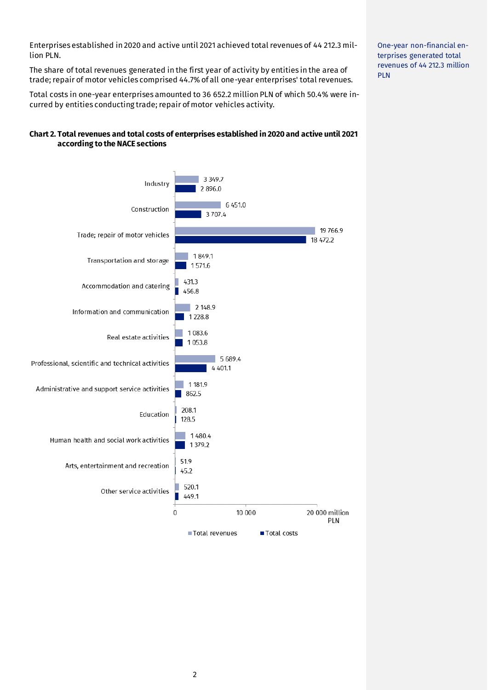Enterprises established in 2020 and active until 2021 achieved total revenues of 44 212.3 million PLN.

The share of total revenues generated in the first year of activity by entities in the area of trade; repair of motor vehicles comprised 44.7% of all one-year enterprises' total revenues.

Total costs in one-year enterprises amounted to 36 652.2 million PLN of which 50.4% were incurred by entities conducting trade; repair of motor vehicles activity.

#### **Chart 2. Total revenues and total costs of enterprises established in 2020 and active until 2021 according to the NACE sections**



One-year non-financial enterprises generated total revenues of 44 212.3 million PLN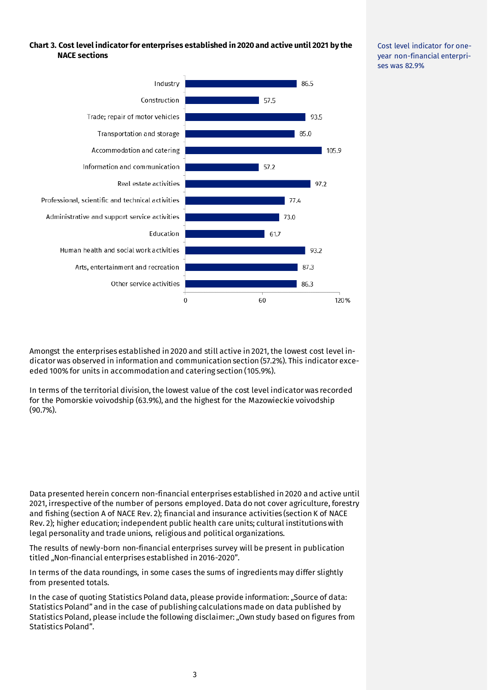#### **Chart 3. Cost level indicator for enterprises established in 2020 and active until 2021 by the NACE sections**



Cost level indicator for oneyear non-financial enterprises was 82.9%

Amongst the enterprises established in 2020 and still active in 2021, the lowest cost level indicator was observed in information and communication section (57.2%). This indicator exceeded 100% for units in accommodation and catering section (105.9%).

In terms of the territorial division, the lowest value of the cost level indicator was recorded for the Pomorskie voivodship (63.9%), and the highest for the Mazowieckie voivodship (90.7%).

Data presented herein concern non-financial enterprises established in 2020 and active until 2021, irrespective of the number of persons employed. Data do not cover agriculture, forestry and fishing (section A of NACE Rev. 2); financial and insurance activities (section K of NACE Rev. 2); higher education; independent public health care units; cultural institutions with legal personality and trade unions, religious and political organizations.

The results of newly-born non-financial enterprises survey will be present in publication titled "Non-financial enterprises established in 2016-2020".

In terms of the data roundings, in some cases the sums of ingredients may differ slightly from presented totals.

In the case of quoting Statistics Poland data, please provide information: "Source of data: Statistics Poland" and in the case of publishing calculations made on data published by Statistics Poland, please include the following disclaimer: "Own study based on figures from Statistics Poland".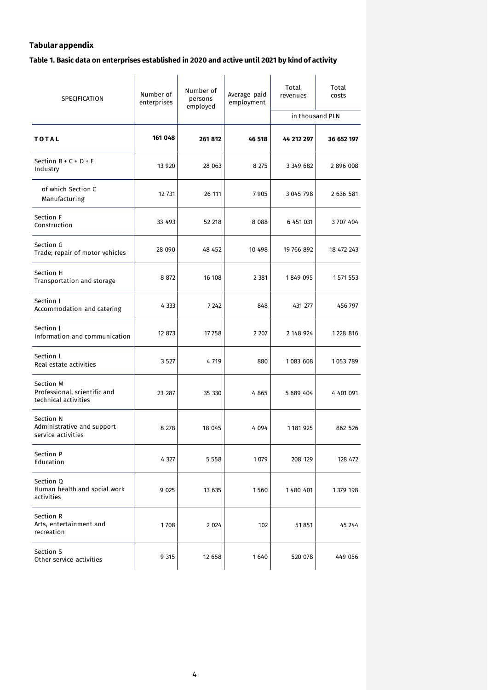## **Tabular appendix**

## **Table 1. Basic data on enterprises established in 2020 and active until 2021 by kind of activity**

| SPECIFICATION                                                     | Number of<br>enterprises | Number of<br>persons<br>employed | Average paid<br>employment | Total<br>revenues | Total<br>costs |
|-------------------------------------------------------------------|--------------------------|----------------------------------|----------------------------|-------------------|----------------|
|                                                                   |                          |                                  |                            | in thousand PLN   |                |
| <b>TOTAL</b>                                                      | 161 048                  | 261812                           | 46 518                     | 44 212 297        | 36 652 197     |
| Section $B + C + D + E$<br>Industry                               | 13 9 20                  | 28 063                           | 8 2 7 5                    | 3 349 682         | 2896008        |
| of which Section C<br>Manufacturing                               | 12 731                   | 26 111                           | 7905                       | 3 045 798         | 2 636 581      |
| Section F<br>Construction                                         | 33 493                   | 52 218                           | 8 0 8 8                    | 6 451 031         | 3707404        |
| Section G<br>Trade; repair of motor vehicles                      | 28 090                   | 48 452                           | 10 498                     | 19 766 892        | 18 472 243     |
| Section H<br>Transportation and storage                           | 8872                     | 16 108                           | 2 3 8 1                    | 1849 095          | 1571553        |
| Section I<br>Accommodation and catering                           | 4 3 3 3                  | 7 2 4 2                          | 848                        | 431 277           | 456 797        |
| Section J<br>Information and communication                        | 12 873                   | 17758                            | 2 2 0 7                    | 2 148 924         | 1 228 816      |
| Section L<br>Real estate activities                               | 3 5 2 7                  | 4719                             | 880                        | 1083 608          | 1053789        |
| Section M<br>Professional, scientific and<br>technical activities | 23 287                   | 35 330                           | 4865                       | 5 689 404         | 4 401 091      |
| Section N<br>Administrative and support<br>service activities     | 8 2 7 8                  | 18 045                           | 4 0 9 4                    | 1181925           | 862 526        |
| Section P<br>Education                                            | 4 327                    | 5 5 5 8                          | 1079                       | 208 129           | 128 472        |
| Section Q<br>Human health and social work<br>activities           | 9 0 25                   | 13 635                           | 1560                       | 1480 401          | 1379 198       |
| Section R<br>Arts, entertainment and<br>recreation                | 1708                     | 2 0 2 4                          | 102                        | 51851             | 45 244         |
| Section S<br>Other service activities                             | 9 3 1 5                  | 12 658                           | 1640                       | 520 078           | 449 056        |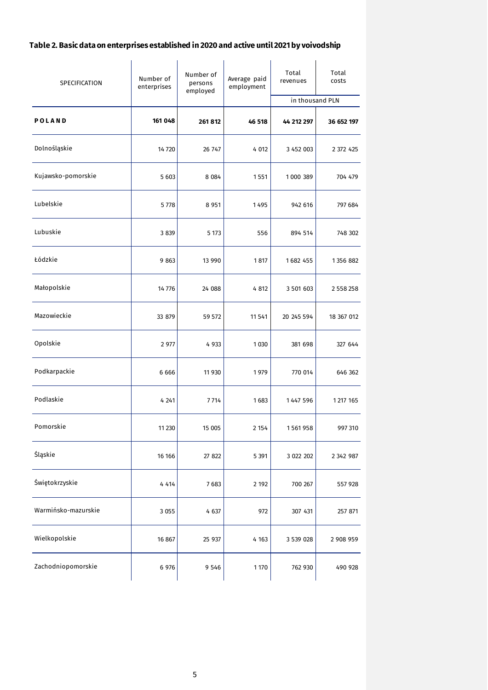## **Table 2. Basic data on enterprises established in 2020 and active until 2021 by voivodship**

| SPECIFICATION       | Number of<br>enterprises | Number of<br>persons<br>employed | Average paid<br>employment | Total<br>revenues<br>in thousand PLN | Total<br>costs |
|---------------------|--------------------------|----------------------------------|----------------------------|--------------------------------------|----------------|
|                     |                          |                                  |                            |                                      |                |
| POLAND              | 161 048                  | 261 812                          | 46 518                     | 44 212 297                           | 36 652 197     |
| Dolnośląskie        | 14 7 20                  | 26 747                           | 4 0 12                     | 3 452 003                            | 2 372 425      |
| Kujawsko-pomorskie  | 5 6 0 3                  | 8 0 8 4                          | 1551                       | 1000 389                             | 704 479        |
| Lubelskie           | 5778                     | 8 9 5 1                          | 1495                       | 942 616                              | 797 684        |
| Lubuskie            | 3 8 3 9                  | 5 1 7 3                          | 556                        | 894 514                              | 748 302        |
| Łódzkie             | 9863                     | 13 990                           | 1817                       | 1682 455                             | 1356882        |
| Małopolskie         | 14776                    | 24 088                           | 4 8 12                     | 3 501 603                            | 2 558 258      |
| Mazowieckie         | 33 879                   | 59 572                           | 11541                      | 20 245 594                           | 18 367 012     |
| Opolskie            | 2 977                    | 4 9 3 3                          | 1030                       | 381 698                              | 327 644        |
| Podkarpackie        | 6 6 6 6                  | 11 930                           | 1979                       | 770 014                              | 646 362        |
| Podlaskie           | 4 2 4 1                  | 7714                             | 1683                       | 1 447 596                            | 1 217 165      |
| Pomorskie           | 11 230                   | 15 005                           | 2 1 5 4                    | 1561958                              | 997 310        |
| Śląskie             | 16 16 6                  | 27 822                           | 5 3 9 1                    | 3 022 202                            | 2 342 987      |
| Świętokrzyskie      | 4 4 1 4                  | 7683                             | 2 1 9 2                    | 700 267                              | 557 928        |
| Warmińsko-mazurskie | 3 0 5 5                  | 4 637                            | 972                        | 307 431                              | 257 871        |
| Wielkopolskie       | 16 867                   | 25 937                           | 4 1 6 3                    | 3 539 028                            | 2 908 959      |
| Zachodniopomorskie  | 6 976                    | 9 5 4 6                          | 1 1 7 0                    | 762 930                              | 490 928        |